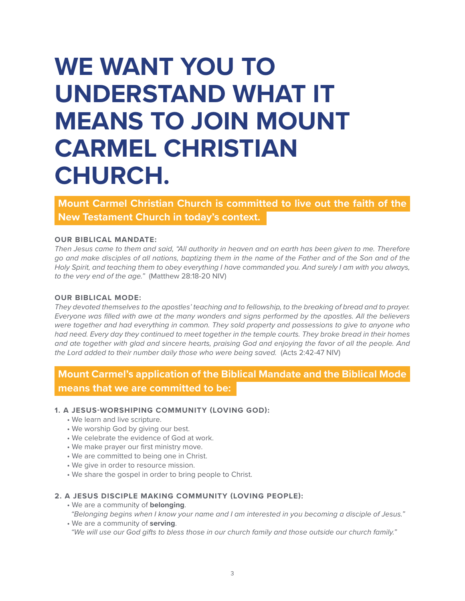# **WE WANT YOU TO UNDERSTAND WHAT IT MEANS TO JOIN MOUNT CARMEL CHRISTIAN CHURCH.**

**Mount Carmel Christian Church is committed to live out the faith of the New Testament Church in today's context.**

# **OUR BIBLICAL MANDATE:**

*Then Jesus came to them and said, "All authority in heaven and on earth has been given to me. Therefore go and make disciples of all nations, baptizing them in the name of the Father and of the Son and of the Holy Spirit, and teaching them to obey everything I have commanded you. And surely I am with you always, to the very end of the age."* (Matthew 28:18-20 NIV)

# **OUR BIBLICAL MODE:**

*They devoted themselves to the apostles' teaching and to fellowship, to the breaking of bread and to prayer. Everyone was filled with awe at the many wonders and signs performed by the apostles. All the believers were together and had everything in common. They sold property and possessions to give to anyone who had need. Every day they continued to meet together in the temple courts. They broke bread in their homes and ate together with glad and sincere hearts, praising God and enjoying the favor of all the people. And the Lord added to their number daily those who were being saved.* (Acts 2:42-47 NIV)

# **Mount Carmel's application of the Biblical Mandate and the Biblical Mode means that we are committed to be:**

# **1. A JESUS-WORSHIPING COMMUNITY (LOVING GOD):**

- We learn and live scripture.
- We worship God by giving our best.
- We celebrate the evidence of God at work.
- We make prayer our first ministry move.
- We are committed to being one in Christ.
- We give in order to resource mission.
- We share the gospel in order to bring people to Christ.

# **2. A JESUS DISCIPLE MAKING COMMUNITY (LOVING PEOPLE):**

• We are a community of **belonging**.

*"Belonging begins when I know your name and I am interested in you becoming a disciple of Jesus."*

• We are a community of **serving**. *"We will use our God gifts to bless those in our church family and those outside our church family."*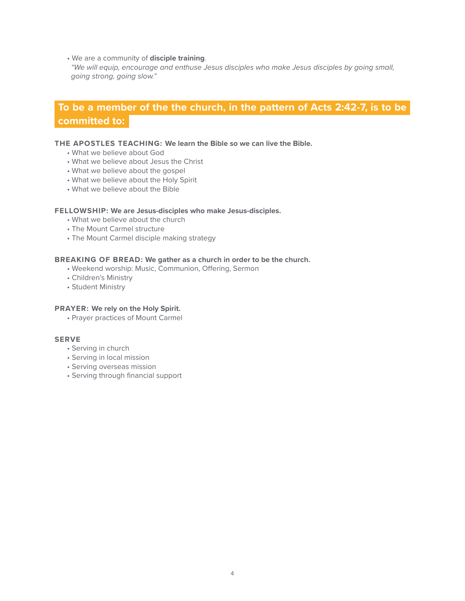• We are a community of **disciple training**.

*"We will equip, encourage and enthuse Jesus disciples who make Jesus disciples by going small, going strong, going slow."*

# **To be a member of the the church, in the pattern of Acts 2:42-7, is to be committed to:**

# **THE APOSTLES TEACHING: We learn the Bible so we can live the Bible.**

- What we believe about God
- What we believe about Jesus the Christ
- What we believe about the gospel
- What we believe about the Holy Spirit
- What we believe about the Bible

#### **FELLOWSHIP: We are Jesus-disciples who make Jesus-disciples.**

- What we believe about the church
- The Mount Carmel structure
- The Mount Carmel disciple making strategy

## **BREAKING OF BREAD: We gather as a church in order to be the church.**

- Weekend worship: Music, Communion, Offering, Sermon
- Children's Ministry
- Student Ministry

# **PRAYER: We rely on the Holy Spirit.**

• Prayer practices of Mount Carmel

# **SERVE**

- Serving in church
- Serving in local mission
- Serving overseas mission
- Serving through financial support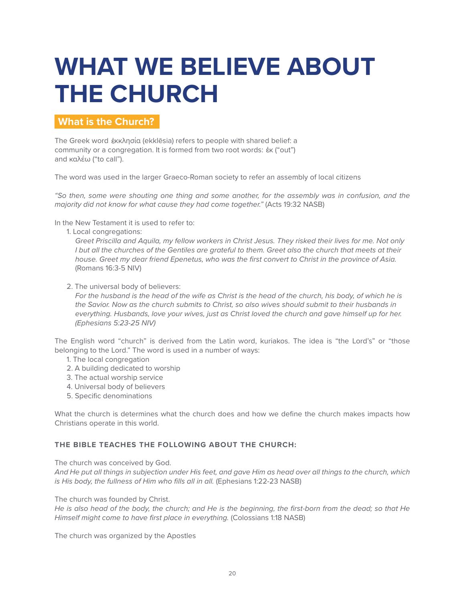# **WHAT WE BELIEVE ABOUT THE CHURCH**

# **What is the Church?**

The Greek word ἐκκλησία (ekklēsia) refers to people with shared belief: a community or a congregation. It is formed from two root words: έκ ("out") and καλέω ("to call").

The word was used in the larger Graeco-Roman society to refer an assembly of local citizens

*"So then, some were shouting one thing and some another, for the assembly was in confusion, and the majority did not know for what cause they had come together."* (Acts 19:32 NASB)

In the New Testament it is used to refer to:

1. Local congregations:

*Greet Priscilla and Aquila, my fellow workers in Christ Jesus. They risked their lives for me. Not only I* but all the churches of the Gentiles are grateful to them. Greet also the church that meets at their *house. Greet my dear friend Epenetus, who was the first convert to Christ in the province of Asia.* (Romans 16:3-5 NIV)

2. The universal body of believers:

For the husband is the head of the wife as Christ is the head of the church, his body, of which he is *the Savior. Now as the church submits to Christ, so also wives should submit to their husbands in everything. Husbands, love your wives, just as Christ loved the church and gave himself up for her. (Ephesians 5:23-25 NIV)*

The English word "church" is derived from the Latin word, kuriakos. The idea is "the Lord's" or "those belonging to the Lord." The word is used in a number of ways:

- 1. The local congregation
- 2. A building dedicated to worship
- 3. The actual worship service
- 4. Universal body of believers
- 5. Specific denominations

What the church is determines what the church does and how we define the church makes impacts how Christians operate in this world.

# **THE BIBLE TEACHES THE FOLLOWING ABOUT THE CHURCH:**

The church was conceived by God.

*And He put all things in subjection under His feet, and gave Him as head over all things to the church, which is His body, the fullness of Him who fills all in all.* (Ephesians 1:22-23 NASB)

The church was founded by Christ.

*He is also head of the body, the church; and He is the beginning, the first-born from the dead; so that He Himself might come to have first place in everything.* (Colossians 1:18 NASB)

The church was organized by the Apostles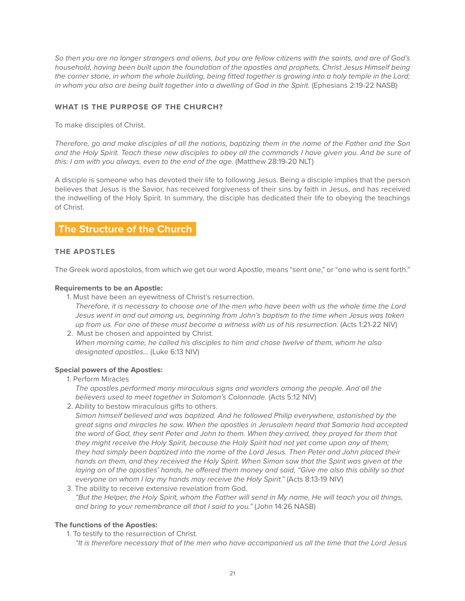*So then you are no longer strangers and aliens, but you are fellow citizens with the saints, and are of God's household, having been built upon the foundation of the apostles and prophets, Christ Jesus Himself being*  the corner stone, in whom the whole building, being fitted together is growing into a holy temple in the Lord; *in whom you also are being built together into a dwelling of God in the Spirit.* (Ephesians 2:19-22 NASB)

# **WHAT IS THE PURPOSE OF THE CHURCH?**

To make disciples of Christ.

*Therefore, go and make disciples of all the nations, baptizing them in the name of the Father and the Son*  and the Holy Spirit. Teach these new disciples to obey all the commands I have given you. And be sure of *this: I am with you always, even to the end of the age.* (Matthew 28:19-20 NLT)

A disciple is someone who has devoted their life to following Jesus. Being a disciple implies that the person believes that Jesus is the Savior, has received forgiveness of their sins by faith in Jesus, and has received the indwelling of the Holy Spirit. In summary, the disciple has dedicated their life to obeying the teachings of Christ.

# **The Structure of the Church**

# **THE APOSTLES**

The Greek word apostolos, from which we get our word Apostle, means "sent one," or "one who is sent forth."

# **Requirements to be an Apostle:**

- 1. Must have been an eyewitness of Christ's resurrection.
	- *Therefore, it is necessary to choose one of the men who have been with us the whole time the Lord Jesus went in and out among us, beginning from John's baptism to the time when Jesus was taken up from us. For one of these must become a witness with us of his resurrection.* (Acts 1:21-22 NIV)
- 2. Must be chosen and appointed by Christ. *When morning came, he called his disciples to him and chose twelve of them, whom he also designated apostles...* (Luke 6:13 NIV)

# **Special powers of the Apostles:**

1. Perform Miracles

*The apostles performed many miraculous signs and wonders among the people. And all the believers used to meet together in Solomon's Colonnade.* (Acts 5:12 NIV)

2. Ability to bestow miraculous gifts to others.

*Simon himself believed and was baptized. And he followed Philip everywhere, astonished by the great signs and miracles he saw. When the apostles in Jerusalem heard that Samaria had accepted*  the word of God, they sent Peter and John to them. When they arrived, they prayed for them that *they might receive the Holy Spirit, because the Holy Spirit had not yet come upon any of them; they had simply been baptized into the name of the Lord Jesus. Then Peter and John placed their hands on them, and they received the Holy Spirit. When Simon saw that the Spirit was given at the laying on of the apostles' hands, he offered them money and said, "Give me also this ability so that everyone on whom I lay my hands may receive the Holy Spirit."* (Acts 8:13-19 NIV)

3. The ability to receive extensive revelation from God. *"But the Helper, the Holy Spirit, whom the Father will send in My name, He will teach you all things, and bring to your remembrance all that I said to you."* (John 14:26 NASB)

# **The functions of the Apostles:**

- 1. To testify to the resurrection of Christ.
	- *"It is therefore necessary that of the men who have accompanied us all the time that the Lord Jesus*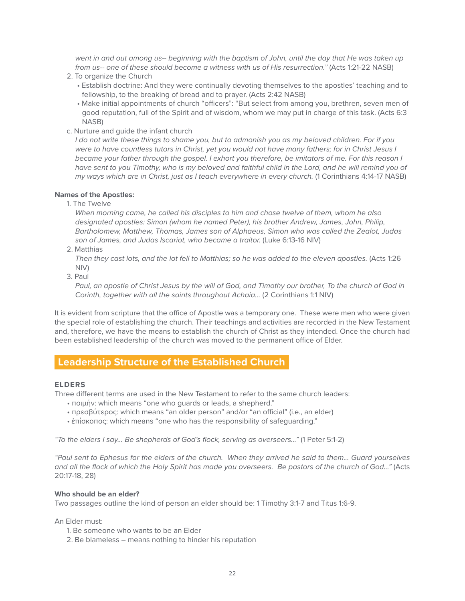*went in and out among us-- beginning with the baptism of John, until the day that He was taken up*  from us-- one of these should become a witness with us of His resurrection." (Acts 1:21-22 NASB)

- 2. To organize the Church
	- Establish doctrine: And they were continually devoting themselves to the apostles' teaching and to fellowship, to the breaking of bread and to prayer. (Acts 2:42 NASB)
	- Make initial appointments of church "officers": "But select from among you, brethren, seven men of good reputation, full of the Spirit and of wisdom, whom we may put in charge of this task. (Acts 6:3 NASB)
- c. Nurture and guide the infant church

*I do not write these things to shame you, but to admonish you as my beloved children. For if you were to have countless tutors in Christ, yet you would not have many fathers; for in Christ Jesus I became your father through the gospel. I exhort you therefore, be imitators of me. For this reason I have sent to you Timothy, who is my beloved and faithful child in the Lord, and he will remind you of my ways which are in Christ, just as I teach everywhere in every church.* (1 Corinthians 4:14-17 NASB)

#### **Names of the Apostles:**

1. The Twelve

*When morning came, he called his disciples to him and chose twelve of them, whom he also designated apostles: Simon (whom he named Peter), his brother Andrew, James, John, Philip, Bartholomew, Matthew, Thomas, James son of Alphaeus, Simon who was called the Zealot, Judas son of James, and Judas Iscariot, who became a traitor.* (Luke 6:13-16 NIV)

2. Matthias

Then they cast lots, and the lot fell to Matthias; so he was added to the eleven apostles. (Acts 1:26 NIV)

3. Paul

*Paul, an apostle of Christ Jesus by the will of God, and Timothy our brother, To the church of God in Corinth, together with all the saints throughout Achaia...* (2 Corinthians 1:1 NIV)

It is evident from scripture that the office of Apostle was a temporary one. These were men who were given the special role of establishing the church. Their teachings and activities are recorded in the New Testament and, therefore, we have the means to establish the church of Christ as they intended. Once the church had been established leadership of the church was moved to the permanent office of Elder.

# **Leadership Structure of the Established Church**

# **ELDERS**

Three different terms are used in the New Testament to refer to the same church leaders:

- ποιμήν: which means "one who guards or leads, a shepherd."
- πρεσβύτερος: which means "an older person" and/or "an official" (i.e., an elder)
- έπίσκοπος: which means "one who has the responsibility of safeguarding."

*"To the elders I say... Be shepherds of God's flock, serving as overseers..."* (1 Peter 5:1-2)

*"Paul sent to Ephesus for the elders of the church. When they arrived he said to them... Guard yourselves and all the flock of which the Holy Spirit has made you overseers. Be pastors of the church of God..."* (Acts 20:17-18, 28)

# **Who should be an elder?**

Two passages outline the kind of person an elder should be: 1 Timothy 3:1-7 and Titus 1:6-9.

An Elder must:

- 1. Be someone who wants to be an Elder
- 2. Be blameless means nothing to hinder his reputation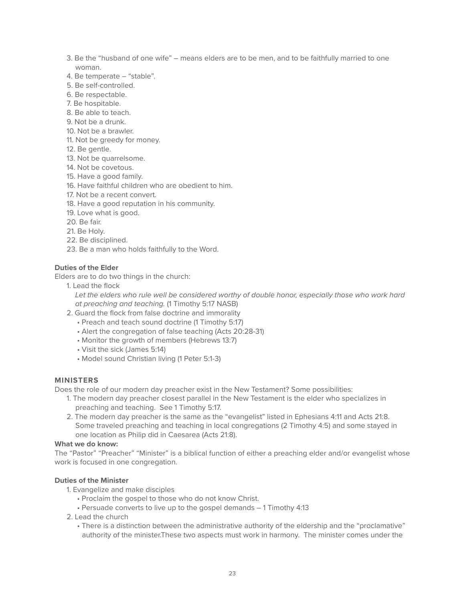- 3. Be the "husband of one wife" means elders are to be men, and to be faithfully married to one woman.
- 4. Be temperate "stable".
- 5. Be self-controlled.
- 6. Be respectable.
- 7. Be hospitable.
- 8. Be able to teach.
- 9. Not be a drunk.
- 10. Not be a brawler.
- 11. Not be greedy for money.
- 12. Be gentle.
- 13. Not be quarrelsome.
- 14. Not be covetous.
- 15. Have a good family.
- 16. Have faithful children who are obedient to him.
- 17. Not be a recent convert.
- 18. Have a good reputation in his community.
- 19. Love what is good.
- 20. Be fair.
- 21. Be Holy.
- 22. Be disciplined.
- 23. Be a man who holds faithfully to the Word.

# **Duties of the Elder**

Elders are to do two things in the church:

1. Lead the flock

Let the elders who rule well be considered worthy of double honor, especially those who work hard *at preaching and teaching.* (1 Timothy 5:17 NASB)

- 2. Guard the flock from false doctrine and immorality
	- Preach and teach sound doctrine (1 Timothy 5:17)
	- Alert the congregation of false teaching (Acts 20:28-31)
	- Monitor the growth of members (Hebrews 13:7)
	- Visit the sick (James 5:14)
	- Model sound Christian living (1 Peter 5:1-3)

# **MINISTERS**

Does the role of our modern day preacher exist in the New Testament? Some possibilities:

- 1. The modern day preacher closest parallel in the New Testament is the elder who specializes in preaching and teaching. See 1 Timothy 5:17.
- 2. The modern day preacher is the same as the "evangelist" listed in Ephesians 4:11 and Acts 21:8. Some traveled preaching and teaching in local congregations (2 Timothy 4:5) and some stayed in one location as Philip did in Caesarea (Acts 21:8).

# **What we do know:**

The "Pastor" "Preacher" "Minister" is a biblical function of either a preaching elder and/or evangelist whose work is focused in one congregation.

# **Duties of the Minister**

- 1. Evangelize and make disciples
	- Proclaim the gospel to those who do not know Christ.
	- Persuade converts to live up to the gospel demands 1 Timothy 4:13
- 2. Lead the church
	- There is a distinction between the administrative authority of the eldership and the "proclamative" authority of the minister.These two aspects must work in harmony. The minister comes under the